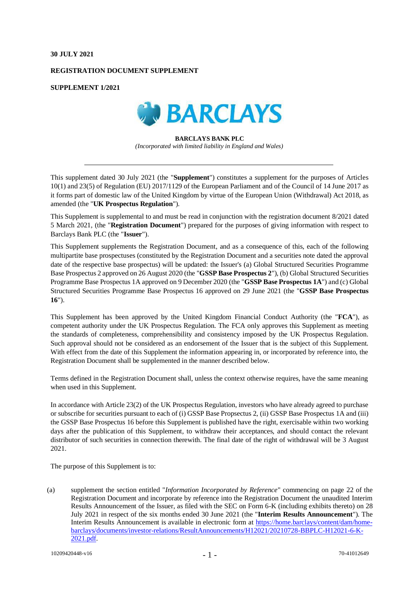### **30 JULY 2021**

## **REGISTRATION DOCUMENT SUPPLEMENT**

**SUPPLEMENT 1/2021**



### **BARCLAYS BANK PLC** *(Incorporated with limited liability in England and Wales)*

This supplement dated 30 July 2021 (the "**Supplement**") constitutes a supplement for the purposes of Articles 10(1) and 23(5) of Regulation (EU) 2017/1129 of the European Parliament and of the Council of 14 June 2017 as it forms part of domestic law of the United Kingdom by virtue of the European Union (Withdrawal) Act 2018, as amended (the "**UK Prospectus Regulation**").

This Supplement is supplemental to and must be read in conjunction with the registration document 8/2021 dated 5 March 2021, (the "**Registration Document**") prepared for the purposes of giving information with respect to Barclays Bank PLC (the "**Issuer**").

This Supplement supplements the Registration Document, and as a consequence of this, each of the following multipartite base prospectuses (constituted by the Registration Document and a securities note dated the approval date of the respective base prospectus) will be updated: the Issuer's (a) Global Structured Securities Programme Base Prospectus 2 approved on 26 August 2020 (the "**GSSP Base Prospectus 2**"), (b) Global Structured Securities Programme Base Prospectus 1A approved on 9 December 2020 (the "**GSSP Base Prospectus 1A**") and (c) Global Structured Securities Programme Base Prospectus 16 approved on 29 June 2021 (the "**GSSP Base Prospectus 16**").

This Supplement has been approved by the United Kingdom Financial Conduct Authority (the "**FCA**"), as competent authority under the UK Prospectus Regulation. The FCA only approves this Supplement as meeting the standards of completeness, comprehensibility and consistency imposed by the UK Prospectus Regulation. Such approval should not be considered as an endorsement of the Issuer that is the subject of this Supplement. With effect from the date of this Supplement the information appearing in, or incorporated by reference into, the Registration Document shall be supplemented in the manner described below.

Terms defined in the Registration Document shall, unless the context otherwise requires, have the same meaning when used in this Supplement.

In accordance with Article 23(2) of the UK Prospectus Regulation, investors who have already agreed to purchase or subscribe for securities pursuant to each of (i) GSSP Base Propsectus 2, (ii) GSSP Base Prospectus 1A and (iii) the GSSP Base Prospectus 16 before this Supplement is published have the right, exercisable within two working days after the publication of this Supplement, to withdraw their acceptances, and should contact the relevant distributor of such securities in connection therewith. The final date of the right of withdrawal will be 3 August 2021.

The purpose of this Supplement is to:

(a) supplement the section entitled "*Information Incorporated by Reference*" commencing on page 22 of the Registration Document and incorporate by reference into the Registration Document the unaudited Interim Results Announcement of the Issuer, as filed with the SEC on Form 6-K (including exhibits thereto) on 28 July 2021 in respect of the six months ended 30 June 2021 (the "**Interim Results Announcement**"). The Interim Results Announcement is available in electronic form at [https://home.barclays/content/dam/home](https://home.barclays/content/dam/home-barclays/documents/investor-relations/ResultAnnouncements/H12021/20210728-BBPLC-H12021-6-K-2021.pdf)[barclays/documents/investor-relations/ResultAnnouncements/H12021/20210728-BBPLC-H12021-6-K-](https://home.barclays/content/dam/home-barclays/documents/investor-relations/ResultAnnouncements/H12021/20210728-BBPLC-H12021-6-K-2021.pdf)[2021.pdf.](https://home.barclays/content/dam/home-barclays/documents/investor-relations/ResultAnnouncements/H12021/20210728-BBPLC-H12021-6-K-2021.pdf)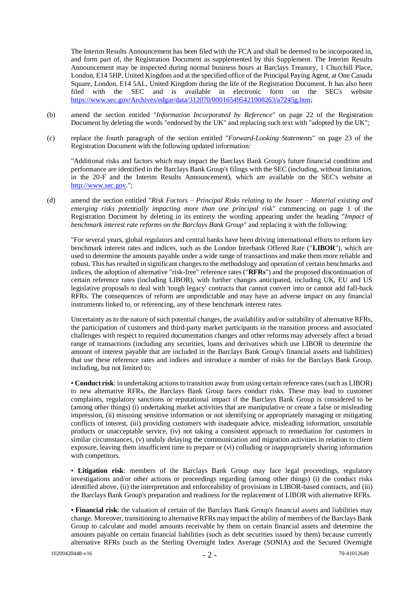The Interim Results Announcement has been filed with the FCA and shall be deemed to be incorporated in, and form part of, the Registration Document as supplemented by this Supplement. The Interim Results Announcement may be inspected during normal business hours at Barclays Treasury, 1 Churchill Place, London, E14 5HP, United Kingdom and at the specified office of the Principal Paying Agent, at One Canada Square, London, E14 5AL, United Kingdom during the life of the Registration Document. It has also been filed with the SEC and is available in electronic form on the SEC's website [https://www.sec.gov/Archives/edgar/data/312070/000165495421008263/a7245g.htm;](https://www.sec.gov/Archives/edgar/data/312070/000165495421008263/a7245g.htm)

- (b) amend the section entitled "*Information Incorporated by Reference*" on page 22 of the Registration Document by deleting the words "endorsed by the UK" and replacing such text with "adopted by the UK";
- (c) replace the fourth paragraph of the section entitled "*Forward-Looking Statements*" on page 23 of the Registration Document with the following updated information:

"Additional risks and factors which may impact the Barclays Bank Group's future financial condition and performance are identified in the Barclays Bank Group's filings with the SEC (including, without limitation, in the 20-F and the Interim Results Announcement), which are available on the SEC's website at [http://www.sec.gov.](http://www.sec.gov/)";

(d) amend the section entitled "*Risk Factors – Principal Risks relating to the Issuer – Material existing and emerging risks potentially impacting more than one principal risk*" commencing on page 1 of the Registration Document by deleting in its entirety the wording appearing under the heading "*Impact of benchmark interest rate reforms on the Barclays Bank Group*" and replacing it with the following:

"For several years, global regulators and central banks have been driving international efforts to reform key benchmark interest rates and indices, such as the London Interbank Offered Rate ("**LIBOR**"), which are used to determine the amounts payable under a wide range of transactions and make them more reliable and robust. This has resulted in significant changes to the methodology and operation of certain benchmarks and indices, the adoption of alternative "risk-free" reference rates ("**RFRs**") and the proposed discontinuation of certain reference rates (including LIBOR), with further changes anticipated, including UK, EU and US legislative proposals to deal with 'tough legacy' contracts that cannot convert into or cannot add fall-back RFRs. The consequences of reform are unpredictable and may have an adverse impact on any financial instruments linked to, or referencing, any of these benchmark interest rates.

Uncertainty as to the nature of such potential changes, the availability and/or suitability of alternative RFRs, the participation of customers and third-party market participants in the transition process and associated challenges with respect to required documentation changes and other reforms may adversely affect a broad range of transactions (including any securities, loans and derivatives which use LIBOR to determine the amount of interest payable that are included in the Barclays Bank Group's financial assets and liabilities) that use these reference rates and indices and introduce a number of risks for the Barclays Bank Group, including, but not limited to:

• **Conduct risk**: in undertaking actions to transition away from using certain reference rates (such as LIBOR) to new alternative RFRs, the Barclays Bank Group faces conduct risks. These may lead to customer complaints, regulatory sanctions or reputational impact if the Barclays Bank Group is considered to be (among other things) (i) undertaking market activities that are manipulative or create a false or misleading impression, (ii) misusing sensitive information or not identifying or appropriately managing or mitigating conflicts of interest, (iii) providing customers with inadequate advice, misleading information, unsuitable products or unacceptable service, (iv) not taking a consistent approach to remediation for customers in similar circumstances, (v) unduly delaying the communication and migration activities in relation to client exposure, leaving them insufficient time to prepare or (vi) colluding or inappropriately sharing information with competitors.

• **Litigation risk**: members of the Barclays Bank Group may face legal proceedings, regulatory investigations and/or other actions or proceedings regarding (among other things) (i) the conduct risks identified above, (ii) the interpretation and enforceability of provisions in LIBOR-based contracts, and (iii) the Barclays Bank Group's preparation and readiness for the replacement of LIBOR with alternative RFRs.

• **Financial risk**: the valuation of certain of the Barclays Bank Group's financial assets and liabilities may change. Moreover, transitioning to alternative RFRs may impact the ability of members of the Barclays Bank Group to calculate and model amounts receivable by them on certain financial assets and determine the amounts payable on certain financial liabilities (such as debt securities issued by them) because currently alternative RFRs (such as the Sterling Overnight Index Average (SONIA) and the Secured Overnight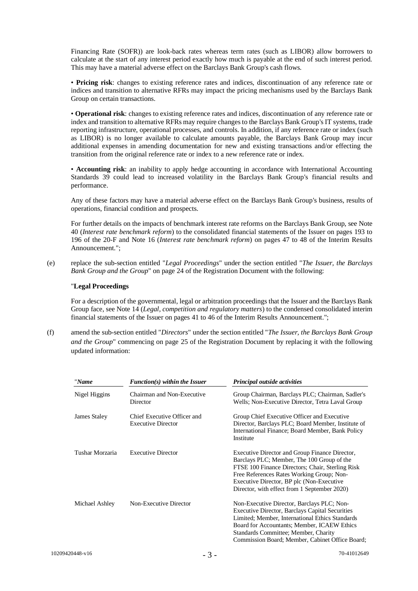Financing Rate (SOFR)) are look-back rates whereas term rates (such as LIBOR) allow borrowers to calculate at the start of any interest period exactly how much is payable at the end of such interest period. This may have a material adverse effect on the Barclays Bank Group's cash flows.

• **Pricing risk**: changes to existing reference rates and indices, discontinuation of any reference rate or indices and transition to alternative RFRs may impact the pricing mechanisms used by the Barclays Bank Group on certain transactions.

• **Operational risk**: changes to existing reference rates and indices, discontinuation of any reference rate or index and transition to alternative RFRs may require changes to the Barclays Bank Group's IT systems, trade reporting infrastructure, operational processes, and controls. In addition, if any reference rate or index (such as LIBOR) is no longer available to calculate amounts payable, the Barclays Bank Group may incur additional expenses in amending documentation for new and existing transactions and/or effecting the transition from the original reference rate or index to a new reference rate or index.

• **Accounting risk**: an inability to apply hedge accounting in accordance with International Accounting Standards 39 could lead to increased volatility in the Barclays Bank Group's financial results and performance.

Any of these factors may have a material adverse effect on the Barclays Bank Group's business, results of operations, financial condition and prospects.

For further details on the impacts of benchmark interest rate reforms on the Barclays Bank Group, see Note 40 (*Interest rate benchmark reform*) to the consolidated financial statements of the Issuer on pages 193 to 196 of the 20-F and Note 16 (*Interest rate benchmark reform*) on pages 47 to 48 of the Interim Results Announcement.";

(e) replace the sub-section entitled "*Legal Proceedings*" under the section entitled "*The Issuer, the Barclays Bank Group and the Group*" on page 24 of the Registration Document with the following:

## "**Legal Proceedings**

For a description of the governmental, legal or arbitration proceedings that the Issuer and the Barclays Bank Group face, see Note 14 (*Legal, competition and regulatory matters*) to the condensed consolidated interim financial statements of the Issuer on pages 41 to 46 of the Interim Results Announcement.";

(f) amend the sub-section entitled "*Directors*" under the section entitled "*The Issuer, the Barclays Bank Group and the Group*" commencing on page 25 of the Registration Document by replacing it with the following updated information:

| "Name           | $Function(s)$ within the Issuer                          | <b>Principal outside activities</b>                                                                                                                                                                                                                                                               |
|-----------------|----------------------------------------------------------|---------------------------------------------------------------------------------------------------------------------------------------------------------------------------------------------------------------------------------------------------------------------------------------------------|
| Nigel Higgins   | Chairman and Non-Executive<br>Director                   | Group Chairman, Barclays PLC; Chairman, Sadler's<br>Wells; Non-Executive Director, Tetra Laval Group                                                                                                                                                                                              |
| James Staley    | Chief Executive Officer and<br><b>Executive Director</b> | Group Chief Executive Officer and Executive<br>Director, Barclays PLC; Board Member, Institute of<br>International Finance; Board Member, Bank Policy<br>Institute                                                                                                                                |
| Tushar Morzaria | <b>Executive Director</b>                                | Executive Director and Group Finance Director,<br>Barclays PLC; Member, The 100 Group of the<br>FTSE 100 Finance Directors; Chair, Sterling Risk<br>Free References Rates Working Group; Non-<br>Executive Director, BP plc (Non-Executive)<br>Director, with effect from 1 September 2020)       |
| Michael Ashley  | Non-Executive Director                                   | Non-Executive Director, Barclays PLC; Non-<br><b>Executive Director, Barclays Capital Securities</b><br>Limited; Member, International Ethics Standards<br>Board for Accountants; Member, ICAEW Ethics<br>Standards Committee; Member, Charity<br>Commission Board; Member, Cabinet Office Board; |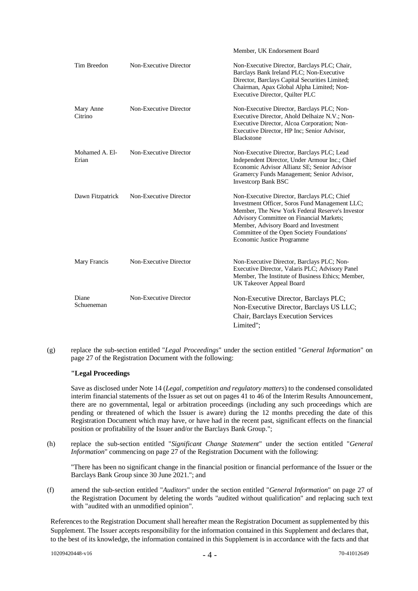|                         |                        | Member, UK Endorsement Board                                                                                                                                                                                                                                                                                      |
|-------------------------|------------------------|-------------------------------------------------------------------------------------------------------------------------------------------------------------------------------------------------------------------------------------------------------------------------------------------------------------------|
| Tim Breedon             | Non-Executive Director | Non-Executive Director, Barclays PLC; Chair,<br>Barclays Bank Ireland PLC; Non-Executive<br>Director, Barclays Capital Securities Limited;<br>Chairman, Apax Global Alpha Limited; Non-<br>Executive Director, Quilter PLC                                                                                        |
| Mary Anne<br>Citrino    | Non-Executive Director | Non-Executive Director, Barclays PLC; Non-<br>Executive Director, Ahold Delhaize N.V.; Non-<br>Executive Director, Alcoa Corporation; Non-<br>Executive Director, HP Inc; Senior Advisor,<br><b>Blackstone</b>                                                                                                    |
| Mohamed A. El-<br>Erian | Non-Executive Director | Non-Executive Director, Barclays PLC; Lead<br>Independent Director, Under Armour Inc.; Chief<br>Economic Advisor Allianz SE; Senior Advisor<br>Gramercy Funds Management; Senior Advisor,<br><b>Investcorp Bank BSC</b>                                                                                           |
| Dawn Fitzpatrick        | Non-Executive Director | Non-Executive Director, Barclays PLC; Chief<br>Investment Officer, Soros Fund Management LLC;<br>Member, The New York Federal Reserve's Investor<br>Advisory Committee on Financial Markets;<br>Member, Advisory Board and Investment<br>Committee of the Open Society Foundations'<br>Economic Justice Programme |
| Mary Francis            | Non-Executive Director | Non-Executive Director, Barclays PLC; Non-<br>Executive Director, Valaris PLC; Advisory Panel<br>Member, The Institute of Business Ethics; Member,<br>UK Takeover Appeal Board                                                                                                                                    |
| Diane<br>Schueneman     | Non-Executive Director | Non-Executive Director, Barclays PLC;<br>Non-Executive Director, Barclays US LLC;<br>Chair, Barclays Execution Services<br>Limited";                                                                                                                                                                              |

(g) replace the sub-section entitled "*Legal Proceedings*" under the section entitled "*General Information*" on page 27 of the Registration Document with the following:

# **"Legal Proceedings**

Save as disclosed under Note 14 (*Legal, competition and regulatory matters*) to the condensed consolidated interim financial statements of the Issuer as set out on pages 41 to 46 of the Interim Results Announcement, there are no governmental, legal or arbitration proceedings (including any such proceedings which are pending or threatened of which the Issuer is aware) during the 12 months preceding the date of this Registration Document which may have, or have had in the recent past, significant effects on the financial position or profitability of the Issuer and/or the Barclays Bank Group.";

(h) replace the sub-section entitled "*Significant Change Statement*" under the section entitled "*General Information*" commencing on page 27 of the Registration Document with the following:

"There has been no significant change in the financial position or financial performance of the Issuer or the Barclays Bank Group since 30 June 2021."; and

(f) amend the sub-section entitled "*Auditors*" under the section entitled "*General Information*" on page 27 of the Registration Document by deleting the words "audited without qualification" and replacing such text with "audited with an unmodified opinion".

References to the Registration Document shall hereafter mean the Registration Document as supplemented by this Supplement. The Issuer accepts responsibility for the information contained in this Supplement and declares that, to the best of its knowledge, the information contained in this Supplement is in accordance with the facts and that